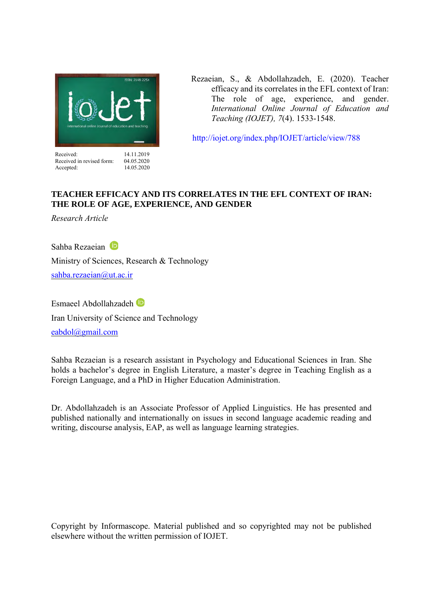

Rezaeian, S., & Abdollahzadeh, E. (2020). Teacher efficacy and its correlates in the EFL context of Iran: The role of age, experience, and gender. *International Online Journal of Education and Teaching (IOJET), 7*(4). 1533-1548.

http://iojet.org/index.php/IOJET/article/view/788

# **TEACHER EFFICACY AND ITS CORRELATES IN THE EFL CONTEXT OF IRAN: THE ROLE OF AGE, EXPERIENCE, AND GENDER**

*Research Article* 

Sahba Rezaeian

Ministry of Sciences, Research & Technology

[sahba.rezaeian@ut.ac.ir](mailto:sahba.rezaeian@ut.ac.ir)

Esmaeel Abdollahzadeh Iran University of Science and Technology [eabdol@gmail.com](mailto:eabdol@gmail.com)

Sahba Rezaeian is a research assistant in Psychology and Educational Sciences in Iran. She holds a bachelor's degree in English Literature, a master's degree in Teaching English as a Foreign Language, and a PhD in Higher Education Administration.

Dr. Abdollahzadeh is an Associate Professor of Applied Linguistics. He has presented and published nationally and internationally on issues in second language academic reading and writing, discourse analysis, EAP, as well as language learning strategies.

Copyright by Informascope. Material published and so copyrighted may not be published elsewhere without the written permission of IOJET.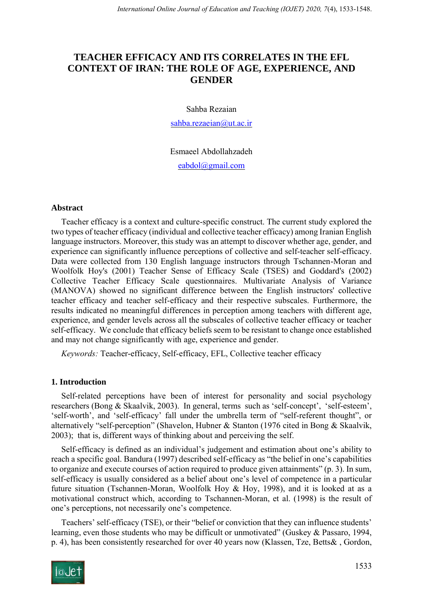# **TEACHER EFFICACY AND ITS CORRELATES IN THE EFL CONTEXT OF IRAN: THE ROLE OF AGE, EXPERIENCE, AND GENDER**

Sahba Rezaian

[sahba.rezaeian@ut.ac.ir](mailto:sahba.rezaeian@ut.ac.ir)

Esmaeel Abdollahzadeh

[eabdol@gmail.com](mailto:eabdol@gmail.com)

### **Abstract**

Teacher efficacy is a context and culture-specific construct. The current study explored the two types of teacher efficacy (individual and collective teacher efficacy) among Iranian English language instructors. Moreover, this study was an attempt to discover whether age, gender, and experience can significantly influence perceptions of collective and self-teacher self-efficacy. Data were collected from 130 English language instructors through Tschannen-Moran and Woolfolk Hoy's (2001) Teacher Sense of Efficacy Scale (TSES) and Goddard's (2002) Collective Teacher Efficacy Scale questionnaires. Multivariate Analysis of Variance (MANOVA) showed no significant difference between the English instructors' collective teacher efficacy and teacher self-efficacy and their respective subscales. Furthermore, the results indicated no meaningful differences in perception among teachers with different age, experience, and gender levels across all the subscales of collective teacher efficacy or teacher self-efficacy. We conclude that efficacy beliefs seem to be resistant to change once established and may not change significantly with age, experience and gender.

*Keywords:* Teacher-efficacy, Self-efficacy, EFL, Collective teacher efficacy

# **1. Introduction**

Self-related perceptions have been of interest for personality and social psychology researchers (Bong & Skaalvik, 2003). In general, terms such as 'self-concept', 'self-esteem', 'self-worth', and 'self-efficacy' fall under the umbrella term of "self-referent thought", or alternatively "self-perception" (Shavelon, Hubner & Stanton (1976 cited in Bong & Skaalvik, 2003); that is, different ways of thinking about and perceiving the self.

Self-efficacy is defined as an individual's judgement and estimation about one's ability to reach a specific goal. Bandura (1997) described self-efficacy as "the belief in one's capabilities to organize and execute courses of action required to produce given attainments" (p. 3). In sum, self-efficacy is usually considered as a belief about one's level of competence in a particular future situation (Tschannen-Moran, Woolfolk Hoy & Hoy, 1998), and it is looked at as a motivational construct which, according to Tschannen-Moran, et al. (1998) is the result of one's perceptions, not necessarily one's competence.

Teachers' self-efficacy (TSE), or their "belief or conviction that they can influence students' learning, even those students who may be difficult or unmotivated" (Guskey & Passaro, 1994, p. 4), has been consistently researched for over 40 years now (Klassen, Tze, Betts& , Gordon,

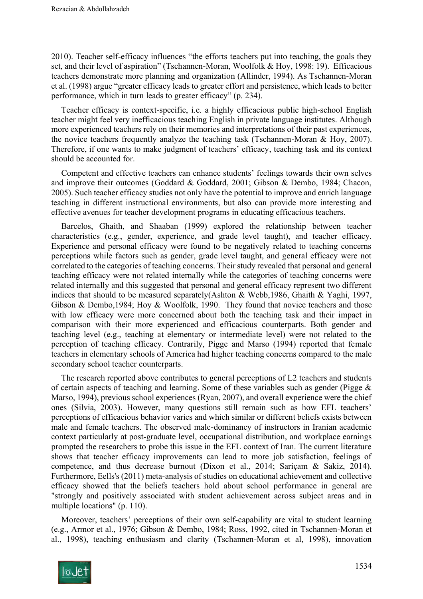2010). Teacher self-efficacy influences "the efforts teachers put into teaching, the goals they set, and their level of aspiration" (Tschannen-Moran, Woolfolk & Hoy, 1998: 19). Efficacious teachers demonstrate more planning and organization (Allinder, 1994). As Tschannen-Moran et al. (1998) argue "greater efficacy leads to greater effort and persistence, which leads to better performance, which in turn leads to greater efficacy" (p. 234).

Teacher efficacy is context-specific, i.e. a highly efficacious public high-school English teacher might feel very inefficacious teaching English in private language institutes. Although more experienced teachers rely on their memories and interpretations of their past experiences, the novice teachers frequently analyze the teaching task (Tschannen-Moran & Hoy, 2007). Therefore, if one wants to make judgment of teachers' efficacy, teaching task and its context should be accounted for.

Competent and effective teachers can enhance students' feelings towards their own selves and improve their outcomes (Goddard & Goddard, 2001; Gibson & Dembo, 1984; Chacon, 2005). Such teacher efficacy studies not only have the potential to improve and enrich language teaching in different instructional environments, but also can provide more interesting and effective avenues for teacher development programs in educating efficacious teachers.

Barcelos, Ghaith, and Shaaban (1999) explored the relationship between teacher characteristics (e.g., gender, experience, and grade level taught), and teacher efficacy. Experience and personal efficacy were found to be negatively related to teaching concerns perceptions while factors such as gender, grade level taught, and general efficacy were not correlated to the categories of teaching concerns. Their study revealed that personal and general teaching efficacy were not related internally while the categories of teaching concerns were related internally and this suggested that personal and general efficacy represent two different indices that should to be measured separately(Ashton & Webb,1986, Ghaith & Yaghi, 1997, Gibson & Dembo,1984; Hoy & Woolfolk, 1990. They found that novice teachers and those with low efficacy were more concerned about both the teaching task and their impact in comparison with their more experienced and efficacious counterparts. Both gender and teaching level (e.g., teaching at elementary or intermediate level) were not related to the perception of teaching efficacy. Contrarily, Pigge and Marso (1994) reported that female teachers in elementary schools of America had higher teaching concerns compared to the male secondary school teacher counterparts.

The research reported above contributes to general perceptions of L2 teachers and students of certain aspects of teaching and learning. Some of these variables such as gender (Pigge  $\&$ Marso, 1994), previous school experiences (Ryan, 2007), and overall experience were the chief ones (Silvia, 2003). However, many questions still remain such as how EFL teachers' perceptions of efficacious behavior varies and which similar or different beliefs exists between male and female teachers. The observed male-dominancy of instructors in Iranian academic context particularly at post-graduate level, occupational distribution, and workplace earnings prompted the researchers to probe this issue in the EFL context of Iran. The current literature shows that teacher efficacy improvements can lead to more job satisfaction, feelings of competence, and thus decrease burnout (Dixon et al., 2014; Sariçam & Sakiz, 2014). Furthermore, Eells's (2011) meta-analysis of studies on educational achievement and collective efficacy showed that the beliefs teachers hold about school performance in general are "strongly and positively associated with student achievement across subject areas and in multiple locations" (p. 110).

Moreover, teachers' perceptions of their own self-capability are vital to student learning (e.g., Armor et al., 1976; Gibson & Dembo, 1984; Ross, 1992, cited in Tschannen-Moran et al., 1998), teaching enthusiasm and clarity (Tschannen-Moran et al, 1998), innovation

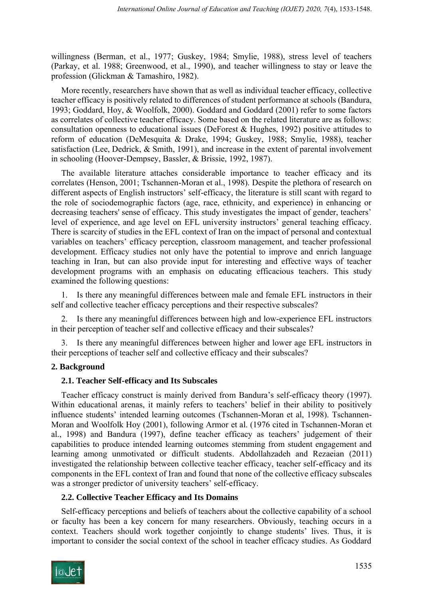willingness (Berman, et al., 1977; Guskey, 1984; Smylie, 1988), stress level of teachers (Parkay, et al. 1988; Greenwood, et al., 1990), and teacher willingness to stay or leave the profession (Glickman & Tamashiro, 1982).

More recently, researchers have shown that as well as individual teacher efficacy, collective teacher efficacy is positively related to differences of student performance at schools (Bandura, 1993; Goddard, Hoy, & Woolfolk, 2000). Goddard and Goddard (2001) refer to some factors as correlates of collective teacher efficacy. Some based on the related literature are as follows: consultation openness to educational issues (DeForest & Hughes, 1992) positive attitudes to reform of education (DeMesquita & Drake, 1994; Guskey, 1988; Smylie, 1988), teacher satisfaction (Lee, Dedrick, & Smith, 1991), and increase in the extent of parental involvement in schooling (Hoover-Dempsey, Bassler, & Brissie, 1992, 1987).

The available literature attaches considerable importance to teacher efficacy and its correlates (Henson, 2001; Tschannen-Moran et al., 1998). Despite the plethora of research on different aspects of English instructors' self-efficacy, the literature is still scant with regard to the role of sociodemographic factors (age, race, ethnicity, and experience) in enhancing or decreasing teachers' sense of efficacy. This study investigates the impact of gender, teachers' level of experience, and age level on EFL university instructors' general teaching efficacy. There is scarcity of studies in the EFL context of Iran on the impact of personal and contextual variables on teachers' efficacy perception, classroom management, and teacher professional development. Efficacy studies not only have the potential to improve and enrich language teaching in Iran, but can also provide input for interesting and effective ways of teacher development programs with an emphasis on educating efficacious teachers. This study examined the following questions:

1. Is there any meaningful differences between male and female EFL instructors in their self and collective teacher efficacy perceptions and their respective subscales?

2. Is there any meaningful differences between high and low-experience EFL instructors in their perception of teacher self and collective efficacy and their subscales?

3. Is there any meaningful differences between higher and lower age EFL instructors in their perceptions of teacher self and collective efficacy and their subscales?

# **2. Background**

# **2.1. Teacher Self-efficacy and Its Subscales**

Teacher efficacy construct is mainly derived from Bandura's self-efficacy theory (1997). Within educational arenas, it mainly refers to teachers' belief in their ability to positively influence students' intended learning outcomes (Tschannen-Moran et al, 1998). Tschannen-Moran and Woolfolk Hoy (2001), following Armor et al. (1976 cited in Tschannen-Moran et al., 1998) and Bandura (1997), define teacher efficacy as teachers' judgement of their capabilities to produce intended learning outcomes stemming from student engagement and learning among unmotivated or difficult students. Abdollahzadeh and Rezaeian (2011) investigated the relationship between collective teacher efficacy, teacher self-efficacy and its components in the EFL context of Iran and found that none of the collective efficacy subscales was a stronger predictor of university teachers' self-efficacy.

# **2.2. Collective Teacher Efficacy and Its Domains**

Self-efficacy perceptions and beliefs of teachers about the collective capability of a school or faculty has been a key concern for many researchers. Obviously, teaching occurs in a context. Teachers should work together conjointly to change students' lives. Thus, it is important to consider the social context of the school in teacher efficacy studies. As Goddard

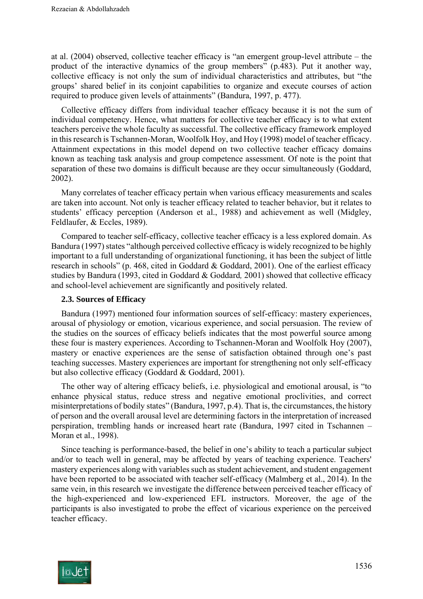at al. (2004) observed, collective teacher efficacy is "an emergent group-level attribute – the product of the interactive dynamics of the group members" (p.483). Put it another way, collective efficacy is not only the sum of individual characteristics and attributes, but "the groups' shared belief in its conjoint capabilities to organize and execute courses of action required to produce given levels of attainments" (Bandura, 1997, p. 477).

Collective efficacy differs from individual teacher efficacy because it is not the sum of individual competency. Hence, what matters for collective teacher efficacy is to what extent teachers perceive the whole faculty as successful. The collective efficacy framework employed in this research is Tschannen-Moran, Woolfolk Hoy, and Hoy (1998) model of teacher efficacy. Attainment expectations in this model depend on two collective teacher efficacy domains known as teaching task analysis and group competence assessment. Of note is the point that separation of these two domains is difficult because are they occur simultaneously (Goddard, 2002).

Many correlates of teacher efficacy pertain when various efficacy measurements and scales are taken into account. Not only is teacher efficacy related to teacher behavior, but it relates to students' efficacy perception (Anderson et al., 1988) and achievement as well (Midgley, Feldlaufer, & Eccles, 1989).

Compared to teacher self-efficacy, collective teacher efficacy is a less explored domain. As Bandura (1997) states "although perceived collective efficacy is widely recognized to be highly important to a full understanding of organizational functioning, it has been the subject of little research in schools" (p. 468, cited in Goddard & Goddard, 2001). One of the earliest efficacy studies by Bandura (1993, cited in Goddard & Goddard*,* 2001) showed that collective efficacy and school-level achievement are significantly and positively related.

### **2.3. Sources of Efficacy**

Bandura (1997) mentioned four information sources of self-efficacy: mastery experiences, arousal of physiology or emotion, vicarious experience, and social persuasion. The review of the studies on the sources of efficacy beliefs indicates that the most powerful source among these four is mastery experiences. According to Tschannen-Moran and Woolfolk Hoy (2007), mastery or enactive experiences are the sense of satisfaction obtained through one's past teaching successes. Mastery experiences are important for strengthening not only self-efficacy but also collective efficacy (Goddard & Goddard, 2001).

The other way of altering efficacy beliefs, i.e. physiological and emotional arousal, is "to enhance physical status, reduce stress and negative emotional proclivities, and correct misinterpretations of bodily states" (Bandura, 1997, p.4). That is, the circumstances, the history of person and the overall arousal level are determining factors in the interpretation of increased perspiration, trembling hands or increased heart rate (Bandura, 1997 cited in Tschannen – Moran et al., 1998).

Since teaching is performance-based, the belief in one's ability to teach a particular subject and/or to teach well in general, may be affected by years of teaching experience. Teachers' mastery experiences along with variables such as student achievement, and student engagement have been reported to be associated with teacher self-efficacy (Malmberg et al., 2014). In the same vein, in this research we investigate the difference between perceived teacher efficacy of the high-experienced and low-experienced EFL instructors. Moreover, the age of the participants is also investigated to probe the effect of vicarious experience on the perceived teacher efficacy.

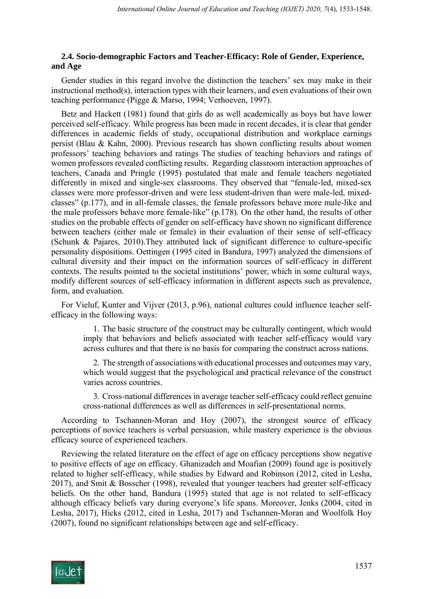# **2.4. Socio-demographic Factors and Teacher-Efficacy: Role of Gender, Experience, and Age**

Gender studies in this regard involve the distinction the teachers' sex may make in their instructional method(s), interaction types with their learners, and even evaluations of their own teaching performance (Pigge & Marso, 1994; Verhoeven, 1997).

Betz and Hackett (1981) found that girls do as well academically as boys but have lower perceived self-efficacy. While progress has been made in recent decades, it is clear that gender differences in academic fields of study, occupational distribution and workplace earnings persist (Blau & Kahn, 2000). Previous research has shown conflicting results about women professors' teaching behaviors and ratings The studies of teaching behaviors and ratings of women professors revealed conflicting results. Regarding classroom interaction approaches of teachers, Canada and Pringle (1995) postulated that male and female teachers negotiated differently in mixed and single-sex classrooms. They observed that "female-led, mixed-sex classes were more professor-driven and were less student-driven than were male-led, mixedclasses" (p.177), and in all-female classes, the female professors behave more male-like and the male professors behave more female-like" (p.178). On the other hand, the results of other studies on the probable effects of gender on self-efficacy have shown no significant difference between teachers (either male or female) in their evaluation of their sense of self-efficacy (Schunk & Pajares, 2010).They attributed lack of significant difference to culture-specific personality dispositions. Oettingen (1995 cited in Bandura, 1997) analyzed the dimensions of cultural diversity and their impact on the information sources of self-efficacy in different contexts. The results pointed to the societal institutions' power, which in some cultural ways, modify different sources of self-efficacy information in different aspects such as prevalence, form, and evaluation.

For Vieluf, Kunter and Vijver (2013, p.96), national cultures could influence teacher selfefficacy in the following ways:

1. The basic structure of the construct may be culturally contingent, which would imply that behaviors and beliefs associated with teacher self-efficacy would vary across cultures and that there is no basis for comparing the construct across nations.

2. The strength of associations with educational processes and outcomes may vary, which would suggest that the psychological and practical relevance of the construct varies across countries.

3. Cross-national differences in average teacher self-efficacy could reflect genuine cross-national differences as well as differences in self-presentational norms.

According to Tschannen-Moran and Hoy (2007), the strongest source of efficacy perceptions of novice teachers is verbal persuasion, while mastery experience is the obvious efficacy source of experienced teachers.

Reviewing the related literature on the effect of age on efficacy perceptions show negative to positive effects of age on efficacy. Ghanizadeh and Moafian (2009) found age is positively related to higher self-efficacy, while studies by Edward and Robinson (2012, cited in Lesha, 2017), and Smit & Bosscher (1998), revealed that younger teachers had greater self-efficacy beliefs. On the other hand, Bandura (1995) stated that age is not related to self-efficacy although efficacy beliefs vary during everyone's life spans. Moreover, Jenks (2004, cited in Lesha, 2017), Hicks (2012, cited in Lesha, 2017) and Tschannen-Moran and Woolfolk Hoy (2007), found no significant relationships between age and self-efficacy.

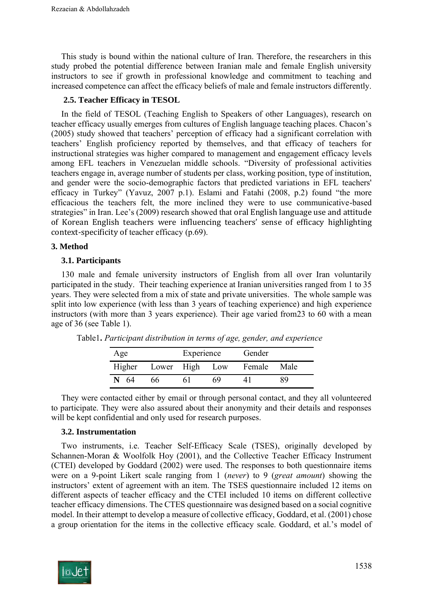This study is bound within the national culture of Iran. Therefore, the researchers in this study probed the potential difference between Iranian male and female English university instructors to see if growth in professional knowledge and commitment to teaching and increased competence can affect the efficacy beliefs of male and female instructors differently.

### **2.5. Teacher Efficacy in TESOL**

In the field of TESOL (Teaching English to Speakers of other Languages), research on teacher efficacy usually emerges from cultures of English language teaching places. Chacon's (2005) study showed that teachers' perception of efficacy had a significant correlation with teachers' English proficiency reported by themselves, and that efficacy of teachers for instructional strategies was higher compared to management and engagement efficacy levels among EFL teachers in Venezuelan middle schools. "Diversity of professional activities teachers engage in, average number of students per class, working position, type of institution, and gender were the socio-demographic factors that predicted variations in EFL teachers' efficacy in Turkey" (Yavuz, 2007 p.1). Eslami and Fatahi (2008, p.2) found "the more efficacious the teachers felt, the more inclined they were to use communicative-based strategies" in Iran. Lee's (2009) research showed that oral English language use and attitude of Korean English teachers were influencing teachers' sense of efficacy highlighting context-specificity of teacher efficacy (p.69).

#### **3. Method**

### **3.1. Participants**

130 male and female university instructors of English from all over Iran voluntarily participated in the study. Their teaching experience at Iranian universities ranged from 1 to 35 years. They were selected from a mix of state and private universities. The whole sample was split into low experience (with less than 3 years of teaching experience) and high experience instructors (with more than 3 years experience). Their age varied from23 to 60 with a mean age of 36 (see Table 1).

| Age                   |    | Experience |    | Gender |      |  |
|-----------------------|----|------------|----|--------|------|--|
| Higher Lower High Low |    |            |    | Female | Male |  |
| N 64                  | 66 | 6 I        | 69 |        | 89   |  |

Table1**.** *Participant distribution in terms of age, gender, and experience*

They were contacted either by email or through personal contact, and they all volunteered to participate. They were also assured about their anonymity and their details and responses will be kept confidential and only used for research purposes.

#### **3.2. Instrumentation**

Two instruments, i.e. Teacher Self-Efficacy Scale (TSES), originally developed by Schannen-Moran & Woolfolk Hoy (2001), and the Collective Teacher Efficacy Instrument (CTEI) developed by Goddard (2002) were used. The responses to both questionnaire items were on a 9-point Likert scale ranging from 1 (*never*) to 9 (*great amount*) showing the instructors' extent of agreement with an item. The TSES questionnaire included 12 items on different aspects of teacher efficacy and the CTEI included 10 items on different collective teacher efficacy dimensions. The CTES questionnaire was designed based on a social cognitive model. In their attempt to develop a measure of collective efficacy, Goddard, et al. (2001) chose a group orientation for the items in the collective efficacy scale. Goddard, et al.'s model of

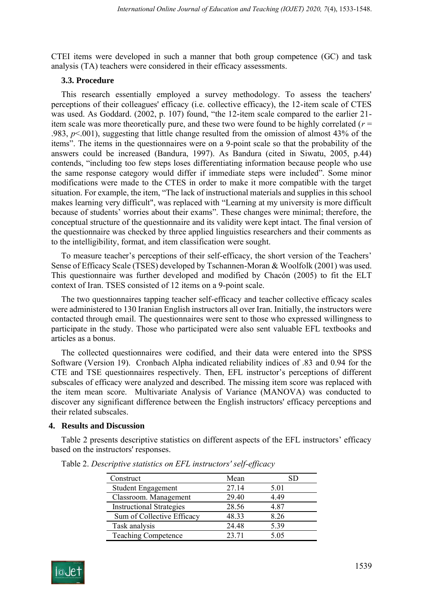CTEI items were developed in such a manner that both group competence (GC) and task analysis (TA) teachers were considered in their efficacy assessments.

# **3.3. Procedure**

This research essentially employed a survey methodology. To assess the teachers' perceptions of their colleagues' efficacy (i.e. collective efficacy), the 12-item scale of CTES was used. As Goddard. (2002, p. 107) found, "the 12-item scale compared to the earlier 21 item scale was more theoretically pure, and these two were found to be highly correlated (*r* = .983, *p*<.001), suggesting that little change resulted from the omission of almost 43% of the items". The items in the questionnaires were on a 9-point scale so that the probability of the answers could be increased (Bandura, 1997). As Bandura (cited in Siwatu, 2005, p.44) contends, "including too few steps loses differentiating information because people who use the same response category would differ if immediate steps were included". Some minor modifications were made to the CTES in order to make it more compatible with the target situation. For example, the item, "The lack of instructional materials and supplies in this school makes learning very difficult", was replaced with "Learning at my university is more difficult because of students' worries about their exams". These changes were minimal; therefore, the conceptual structure of the questionnaire and its validity were kept intact. The final version of the questionnaire was checked by three applied linguistics researchers and their comments as to the intelligibility, format, and item classification were sought.

To measure teacher's perceptions of their self-efficacy, the short version of the Teachers' Sense of Efficacy Scale (TSES) developed by Tschannen-Moran & Woolfolk (2001) was used. This questionnaire was further developed and modified by Chacón (2005) to fit the ELT context of Iran. TSES consisted of 12 items on a 9-point scale.

The two questionnaires tapping teacher self-efficacy and teacher collective efficacy scales were administered to 130 Iranian English instructors all over Iran. Initially, the instructors were contacted through email. The questionnaires were sent to those who expressed willingness to participate in the study. Those who participated were also sent valuable EFL textbooks and articles as a bonus.

The collected questionnaires were codified, and their data were entered into the SPSS Software (Version 19). Cronbach Alpha indicated reliability indices of .83 and 0.94 for the CTE and TSE questionnaires respectively. Then, EFL instructor's perceptions of different subscales of efficacy were analyzed and described. The missing item score was replaced with the item mean score. Multivariate Analysis of Variance (MANOVA) was conducted to discover any significant difference between the English instructors' efficacy perceptions and their related subscales.

#### **4. Results and Discussion**

Table 2 presents descriptive statistics on different aspects of the EFL instructors' efficacy based on the instructors' responses.

| Construct                       | Mean  | SD   |
|---------------------------------|-------|------|
| <b>Student Engagement</b>       | 27.14 | 5.01 |
| Classroom. Management           | 29.40 | 449  |
| <b>Instructional Strategies</b> | 28.56 | 4.87 |
| Sum of Collective Efficacy      | 48.33 | 8.26 |
| Task analysis                   | 24.48 | 5.39 |
| <b>Teaching Competence</b>      | 23 71 | 5.05 |

Table 2. *Descriptive statistics on EFL instructors' self-efficacy*

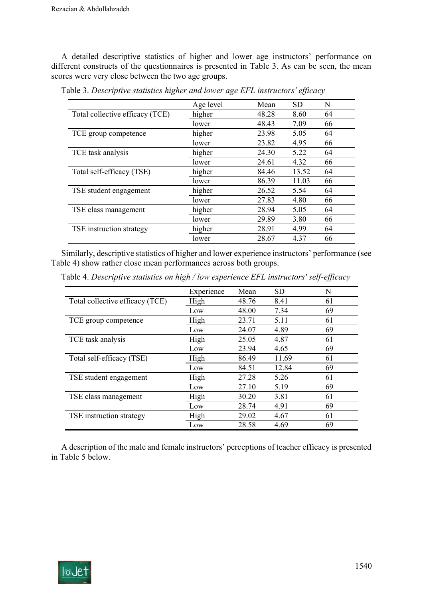A detailed descriptive statistics of higher and lower age instructors' performance on different constructs of the questionnaires is presented in Table 3. As can be seen, the mean scores were very close between the two age groups.

|                                 | Age level | Mean  | <b>SD</b> | N  |
|---------------------------------|-----------|-------|-----------|----|
| Total collective efficacy (TCE) | higher    | 48.28 | 8.60      | 64 |
|                                 | lower     | 48.43 | 7.09      | 66 |
| TCE group competence            | higher    | 23.98 | 5.05      | 64 |
|                                 | lower     | 23.82 | 4.95      | 66 |
| TCE task analysis               | higher    | 24.30 | 5.22      | 64 |
|                                 | lower     | 24.61 | 4.32      | 66 |
| Total self-efficacy (TSE)       | higher    | 84.46 | 13.52     | 64 |
|                                 | lower     | 86.39 | 11.03     | 66 |
| TSE student engagement          | higher    | 26.52 | 5.54      | 64 |
|                                 | lower     | 27.83 | 4.80      | 66 |
| TSE class management            | higher    | 28.94 | 5.05      | 64 |
|                                 | lower     | 29.89 | 3.80      | 66 |
| TSE instruction strategy        | higher    | 28.91 | 4.99      | 64 |
|                                 | lower     | 28.67 | 4.37      | 66 |

Table 3. *Descriptive statistics higher and lower age EFL instructors' efficacy*

Similarly, descriptive statistics of higher and lower experience instructors' performance (see Table 4) show rather close mean performances across both groups.

|                                 | Experience | Mean  | <b>SD</b> | N  |
|---------------------------------|------------|-------|-----------|----|
| Total collective efficacy (TCE) | High       | 48.76 | 8.41      | 61 |
|                                 | Low        | 48.00 | 7.34      | 69 |
| TCE group competence            | High       | 23.71 | 5.11      | 61 |
|                                 | Low        | 24.07 | 4.89      | 69 |
| TCE task analysis               | High       | 25.05 | 4.87      | 61 |
|                                 | Low        | 23.94 | 4.65      | 69 |
| Total self-efficacy (TSE)       | High       | 86.49 | 11.69     | 61 |
|                                 | Low        | 84.51 | 12.84     | 69 |
| TSE student engagement          | High       | 27.28 | 5.26      | 61 |
|                                 | Low        | 27.10 | 5.19      | 69 |
| TSE class management            | High       | 30.20 | 3.81      | 61 |
|                                 | Low        | 28.74 | 4.91      | 69 |
| TSE instruction strategy        | High       | 29.02 | 4.67      | 61 |
|                                 | Low        | 28.58 | 4.69      | 69 |

Table 4. *Descriptive statistics on high / low experience EFL instructors' self-efficacy* 

A description of the male and female instructors' perceptions of teacher efficacy is presented in Table 5 below.

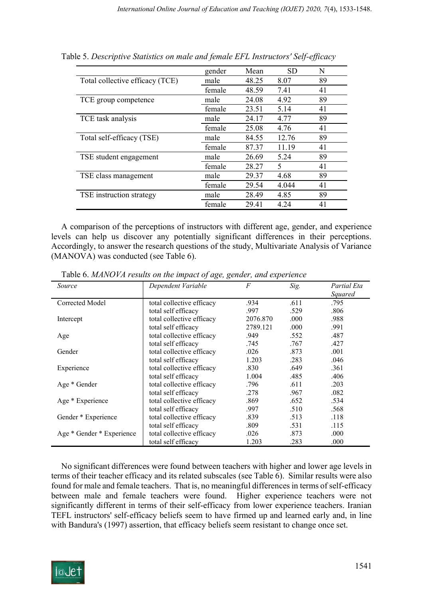|                                 | gender | Mean  | <b>SD</b> | N  |
|---------------------------------|--------|-------|-----------|----|
| Total collective efficacy (TCE) | male   | 48.25 | 8.07      | 89 |
|                                 | female | 48.59 | 7.41      | 41 |
| TCE group competence            | male   | 24.08 | 4.92      | 89 |
|                                 | female | 23.51 | 5.14      | 41 |
| TCE task analysis               | male   | 24.17 | 4.77      | 89 |
|                                 | female | 25.08 | 4.76      | 41 |
| Total self-efficacy (TSE)       | male   | 84.55 | 12.76     | 89 |
|                                 | female | 87.37 | 11.19     | 41 |
| TSE student engagement          | male   | 26.69 | 5.24      | 89 |
|                                 | female | 28.27 | 5         | 41 |
| TSE class management            | male   | 29.37 | 4.68      | 89 |
|                                 | female | 29.54 | 4.044     | 41 |
| TSE instruction strategy        | male   | 28.49 | 4.85      | 89 |
|                                 | female | 29.41 | 4.24      | 41 |

Table 5. *Descriptive Statistics on male and female EFL Instructors' Self-efficacy*

A comparison of the perceptions of instructors with different age, gender, and experience levels can help us discover any potentially significant differences in their perceptions. Accordingly, to answer the research questions of the study, Multivariate Analysis of Variance (MANOVA) was conducted (see Table 6).

| Source                    | Dependent Variable        | $\overline{F}$ | Sig. | Partial Eta<br>Squared |
|---------------------------|---------------------------|----------------|------|------------------------|
| Corrected Model           | total collective efficacy | .934           | .611 | .795                   |
|                           | total self efficacy       | .997           | .529 | .806                   |
| Intercept                 | total collective efficacy | 2076.870       | .000 | .988                   |
|                           | total self efficacy       | 2789.121       | .000 | .991                   |
| Age                       | total collective efficacy | .949           | .552 | .487                   |
|                           | total self efficacy       | .745           | .767 | .427                   |
| Gender                    | total collective efficacy | .026           | .873 | .001                   |
|                           | total self efficacy       | 1.203          | .283 | .046                   |
| Experience                | total collective efficacy | .830           | .649 | .361                   |
|                           | total self efficacy       | 1.004          | .485 | .406                   |
| Age * Gender              | total collective efficacy | .796           | .611 | .203                   |
|                           | total self efficacy       | .278           | .967 | .082                   |
| Age * Experience          | total collective efficacy | .869           | .652 | .534                   |
|                           | total self efficacy       | .997           | .510 | .568                   |
| Gender * Experience       | total collective efficacy | .839           | .513 | .118                   |
|                           | total self efficacy       | .809           | .531 | .115                   |
| Age * Gender * Experience | total collective efficacy | .026           | .873 | .000                   |
|                           | total self efficacy       | 1.203          | .283 | .000                   |

Table 6. *MANOVA results on the impact of age, gender, and experience*

No significant differences were found between teachers with higher and lower age levels in terms of their teacher efficacy and its related subscales (see Table 6). Similar results were also found for male and female teachers. That is, no meaningful differences in terms of self-efficacy between male and female teachers were found. Higher experience teachers were not significantly different in terms of their self-efficacy from lower experience teachers. Iranian TEFL instructors' self-efficacy beliefs seem to have firmed up and learned early and, in line with Bandura's (1997) assertion, that efficacy beliefs seem resistant to change once set.

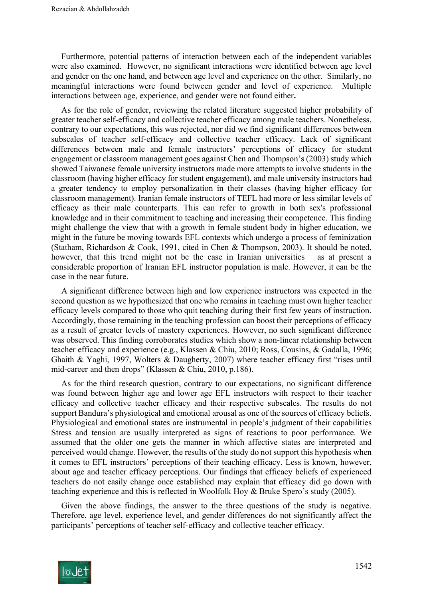Furthermore, potential patterns of interaction between each of the independent variables were also examined. However, no significant interactions were identified between age level and gender on the one hand, and between age level and experience on the other. Similarly, no meaningful interactions were found between gender and level of experience. Multiple interactions between age, experience, and gender were not found either**.** 

As for the role of gender, reviewing the related literature suggested higher probability of greater teacher self-efficacy and collective teacher efficacy among male teachers. Nonetheless, contrary to our expectations, this was rejected, nor did we find significant differences between subscales of teacher self-efficacy and collective teacher efficacy. Lack of significant differences between male and female instructors' perceptions of efficacy for student engagement or classroom management goes against Chen and Thompson's (2003) study which showed Taiwanese female university instructors made more attempts to involve students in the classroom (having higher efficacy for student engagement), and male university instructors had a greater tendency to employ personalization in their classes (having higher efficacy for classroom management). Iranian female instructors of TEFL had more or less similar levels of efficacy as their male counterparts. This can refer to growth in both sex's professional knowledge and in their commitment to teaching and increasing their competence. This finding might challenge the view that with a growth in female student body in higher education, we might in the future be moving towards EFL contexts which undergo a process of feminization (Statham, Richardson & Cook, 1991, cited in Chen & Thompson, 2003). It should be noted, however, that this trend might not be the case in Iranian universities as at present a considerable proportion of Iranian EFL instructor population is male. However, it can be the case in the near future.

A significant difference between high and low experience instructors was expected in the second question as we hypothesized that one who remains in teaching must own higher teacher efficacy levels compared to those who quit teaching during their first few years of instruction. Accordingly, those remaining in the teaching profession can boost their perceptions of efficacy as a result of greater levels of mastery experiences. However, no such significant difference was observed. This finding corroborates studies which show a non-linear relationship between teacher efficacy and experience (e.g., Klassen & Chiu, 2010; Ross, Cousins, & Gadalla, 1996; Ghaith & Yaghi, 1997, Wolters & Daugherty, 2007) where teacher efficacy first "rises until mid-career and then drops" (Klassen & Chiu, 2010, p.186).

As for the third research question, contrary to our expectations, no significant difference was found between higher age and lower age EFL instructors with respect to their teacher efficacy and collective teacher efficacy and their respective subscales. The results do not support Bandura's physiological and emotional arousal as one of the sources of efficacy beliefs. Physiological and emotional states are instrumental in people's judgment of their capabilities Stress and tension are usually interpreted as signs of reactions to poor performance. We assumed that the older one gets the manner in which affective states are interpreted and perceived would change. However, the results of the study do not support this hypothesis when it comes to EFL instructors' perceptions of their teaching efficacy. Less is known, however, about age and teacher efficacy perceptions. Our findings that efficacy beliefs of experienced teachers do not easily change once established may explain that efficacy did go down with teaching experience and this is reflected in Woolfolk Hoy & Bruke Spero's study (2005).

Given the above findings, the answer to the three questions of the study is negative. Therefore, age level, experience level, and gender differences do not significantly affect the participants' perceptions of teacher self-efficacy and collective teacher efficacy.

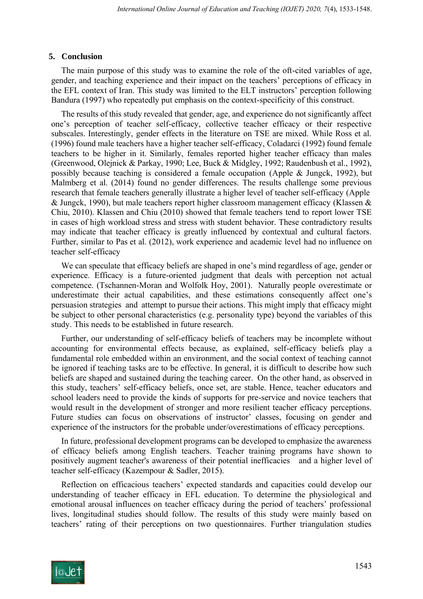### **5. Conclusion**

The main purpose of this study was to examine the role of the oft-cited variables of age, gender, and teaching experience and their impact on the teachers' perceptions of efficacy in the EFL context of Iran. This study was limited to the ELT instructors' perception following Bandura (1997) who repeatedly put emphasis on the context-specificity of this construct.

The results of this study revealed that gender, age, and experience do not significantly affect one's perception of teacher self-efficacy, collective teacher efficacy or their respective subscales. Interestingly, gender effects in the literature on TSE are mixed. While Ross et al. (1996) found male teachers have a higher teacher self-efficacy, Coladarci (1992) found female teachers to be higher in it. Similarly, females reported higher teacher efficacy than males (Greenwood, Olejnick & Parkay, 1990; Lee, Buck & Midgley, 1992; Raudenbush et al., 1992), possibly because teaching is considered a female occupation (Apple & Jungck, 1992), but Malmberg et al. (2014) found no gender differences. The results challenge some previous research that female teachers generally illustrate a higher level of teacher self-efficacy (Apple & Jungck, 1990), but male teachers report higher classroom management efficacy (Klassen & Chiu, 2010). Klassen and Chiu (2010) showed that female teachers tend to report lower TSE in cases of high workload stress and stress with student behavior. These contradictory results may indicate that teacher efficacy is greatly influenced by contextual and cultural factors. Further, similar to Pas et al. (2012), work experience and academic level had no influence on teacher self-efficacy

We can speculate that efficacy beliefs are shaped in one's mind regardless of age, gender or experience. Efficacy is a future-oriented judgment that deals with perception not actual competence. (Tschannen-Moran and Wolfolk Hoy, 2001). Naturally people overestimate or underestimate their actual capabilities, and these estimations consequently affect one's persuasion strategies and attempt to pursue their actions. This might imply that efficacy might be subject to other personal characteristics (e.g. personality type) beyond the variables of this study. This needs to be established in future research.

Further, our understanding of self-efficacy beliefs of teachers may be incomplete without accounting for environmental effects because, as explained, self-efficacy beliefs play a fundamental role embedded within an environment, and the social context of teaching cannot be ignored if teaching tasks are to be effective. In general, it is difficult to describe how such beliefs are shaped and sustained during the teaching career. On the other hand, as observed in this study, teachers' self-efficacy beliefs, once set, are stable. Hence, teacher educators and school leaders need to provide the kinds of supports for pre-service and novice teachers that would result in the development of stronger and more resilient teacher efficacy perceptions. Future studies can focus on observations of instructor' classes, focusing on gender and experience of the instructors for the probable under/overestimations of efficacy perceptions.

In future, professional development programs can be developed to emphasize the awareness of efficacy beliefs among English teachers. Teacher training programs have shown to positively augment teacher's awareness of their potential inefficacies and a higher level of teacher self-efficacy (Kazempour & Sadler, 2015).

Reflection on efficacious teachers' expected standards and capacities could develop our understanding of teacher efficacy in EFL education. To determine the physiological and emotional arousal influences on teacher efficacy during the period of teachers' professional lives, longitudinal studies should follow. The results of this study were mainly based on teachers' rating of their perceptions on two questionnaires. Further triangulation studies

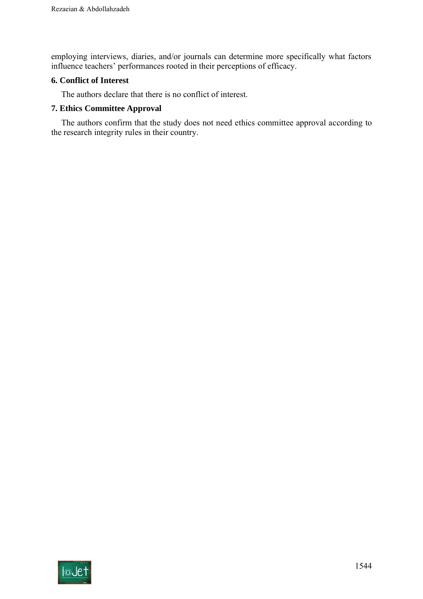employing interviews, diaries, and/or journals can determine more specifically what factors influence teachers' performances rooted in their perceptions of efficacy.

# **6. Conflict of Interest**

The authors declare that there is no conflict of interest.

#### **7. Ethics Committee Approval**

The authors confirm that the study does not need ethics committee approval according to the research integrity rules in their country.

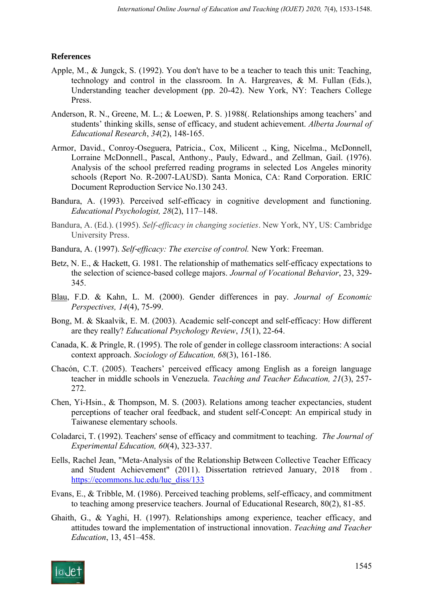# **References**

- Apple, M., & Jungck, S. (1992). You don't have to be a teacher to teach this unit: Teaching, technology and control in the classroom. In A. Hargreaves, & M. Fullan (Eds.), Understanding teacher development (pp. 20-42). New York, NY: Teachers College Press.
- Anderson, R. N., Greene, M. L.; & Loewen, P. S. )1988(. Relationships among teachers' and students' thinking skills, sense of efficacy, and student achievement. *Alberta Journal of Educational Research*, *34*(2), 148-165.
- Armor, David., Conroy-Oseguera, Patricia., Cox, Milicent ., King, Nicelma., McDonnell, Lorraine McDonnell., Pascal, Anthony., Pauly, Edward., and Zellman, Gail. (1976). Analysis of the school preferred reading programs in selected Los Angeles minority schools (Report No. R-2007-LAUSD). Santa Monica, CA: Rand Corporation. ERIC Document Reproduction Service No.130 243.
- Bandura, A. (1993). Perceived self-efficacy in cognitive development and functioning. *Educational Psychologist, 28*(2), 117–148.
- Bandura, A. (Ed.). (1995). *Self-efficacy in changing societies*. New York, NY, US: Cambridge University Press.
- Bandura, A. (1997). *Self-efficacy: The exercise of control*. New York: Freeman.
- Betz, N. E., & Hackett, G. 1981. The relationship of mathematics self-efficacy expectations to the selection of science-based college majors. *Journal of Vocational Behavior*, 23, 329- 345.
- [Blau,](http://www.nber.org/people/francine_blau) F.D. & Kahn, L. M. (2000). Gender differences in pay. *Journal of Economic Perspectives, 14*(4), 75-99.
- Bong, M. & Skaalvik, E. M. (2003). Academic self-concept and self-efficacy: How different are they really? *Educational Psychology Review*, *15*(1), 22-64.
- Canada, K. & Pringle, R. (1995). The role of gender in college classroom interactions: A social context approach. *Sociology of Education, 68*(3), 161-186.
- Chacón, C.T. (2005). Teachers' perceived efficacy among English as a foreign language teacher in middle schools in Venezuela. *Teaching and Teacher Education, 21*(3), 257- 272.
- Chen, Yi-Hsin., & Thompson, M. S. (2003). Relations among teacher expectancies, student perceptions of teacher oral feedback, and student self-Concept: An empirical study in Taiwanese elementary schools.
- Coladarci, T. (1992). Teachers' sense of efficacy and commitment to teaching. *The Journal of Experimental Education, 60*(4), 323-337.
- Eells, Rachel Jean, "Meta-Analysis of the Relationship Between Collective Teacher Efficacy and Student Achievement" (2011). Dissertation retrieved January, 2018 from . [https://ecommons.luc.edu/luc\\_diss/133](https://ecommons.luc.edu/luc_diss/133)
- Evans, E., & Tribble, M. (1986). Perceived teaching problems, self-efficacy, and commitment to teaching among preservice teachers. Journal of Educational Research, 80(2), 81-85.
- Ghaith, G., & Yaghi, H. (1997). Relationships among experience, teacher efficacy, and attitudes toward the implementation of instructional innovation . *Teaching and Teacher Education*, 13, 451–458.

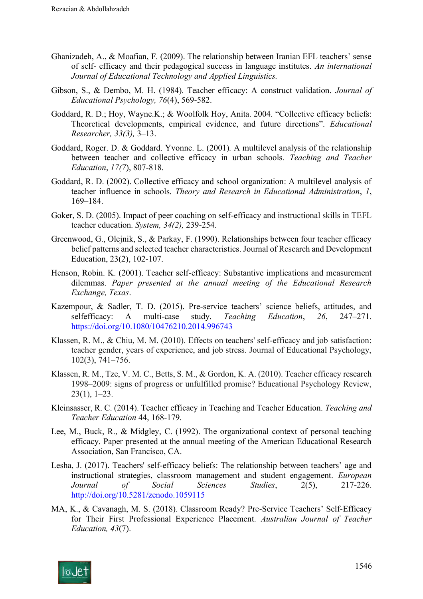- Ghanizadeh, A., & Moafian, F. (2009). The relationship between Iranian EFL teachers' sense of self- efficacy and their pedagogical success in language institutes. *An international Journal of Educational Technology and Applied Linguistics.*
- Gibson, S., & Dembo, M. H. (1984). Teacher efficacy: A construct validation. *Journal of Educational Psychology, 76*(4), 569-582.
- Goddard, R. D.; Hoy, Wayne.K.; & Woolfolk Hoy, Anita. 2004. "Collective efficacy beliefs: Theoretical developments, empirical evidence, and future directions". *Educational Researcher, 33(3),* 3–13.
- Goddard, Roger. D. & Goddard. Yvonne. L. (2001)*.* [A multilevel analysis of the relationship](http://www.sciencedirect.com/science?_ob=ArticleURL&_udi=B6VD8-444DY27-4&_user=10&_coverDate=10%2F31%2F2001&_alid=76)  [between teacher and collective efficacy in urban schools](http://www.sciencedirect.com/science?_ob=ArticleURL&_udi=B6VD8-444DY27-4&_user=10&_coverDate=10%2F31%2F2001&_alid=76)*. Teaching and Teacher Education*, *17(7*), 807-818.
- Goddard, R. D. (2002). Collective efficacy and school organization: A multilevel analysis of teacher influence in schools. *Theory and Research in Educational Administration*, *1*, 169–184.
- Goker, S. D. (2005). Impact of peer coaching on self-efficacy and instructional skills in TEFL teacher education. *System, 34(2),* 239-254.
- Greenwood, G., Olejnik, S., & Parkay, F. (1990). Relationships between four teacher efficacy belief patterns and selected teacher characteristics. Journal of Research and Development Education, 23(2), 102-107.
- Henson, Robin. K. (2001). Teacher self-efficacy: Substantive implications and measurement dilemmas. *Paper presented at the annual meeting of the Educational Research Exchange, Texas*.
- Kazempour, & Sadler, T. D. (2015). Pre-service teachers' science beliefs, attitudes, and selfefficacy: A multi-case study. *Teaching Education*, *26*, 247–271. <https://doi.org/10.1080/10476210.2014.996743>
- Klassen, R. M., & Chiu, M. M. (2010). Effects on teachers' self-efficacy and job satisfaction: teacher gender, years of experience, and job stress. Journal of Educational Psychology, 102(3), 741–756.
- Klassen, R. M., Tze, V. M. C., Betts, S. M., & Gordon, K. A. (2010). Teacher efficacy research 1998–2009: signs of progress or unfulfilled promise? Educational Psychology Review, 23(1), 1–23.
- Kleinsasser, R. C. (2014). Teacher efficacy in Teaching and Teacher Education. *Teaching and Teacher Education* 44, 168-179.
- Lee, M., Buck, R., & Midgley, C. (1992). The organizational context of personal teaching efficacy. Paper presented at the annual meeting of the American Educational Research Association, San Francisco, CA.
- Lesha, J. (2017). Teachers' self-efficacy beliefs: The relationship between teachers' age and instructional strategies, classroom management and student engagement. *European Journal of Social Sciences Studies*, 2(5), 217-226. <http://doi.org/10.5281/zenodo.1059115>
- MA, K., & Cavanagh, M. S. (2018). Classroom Ready? Pre-Service Teachers' Self-Efficacy for Their First Professional Experience Placement. *Australian Journal of Teacher Education, 43*(7).

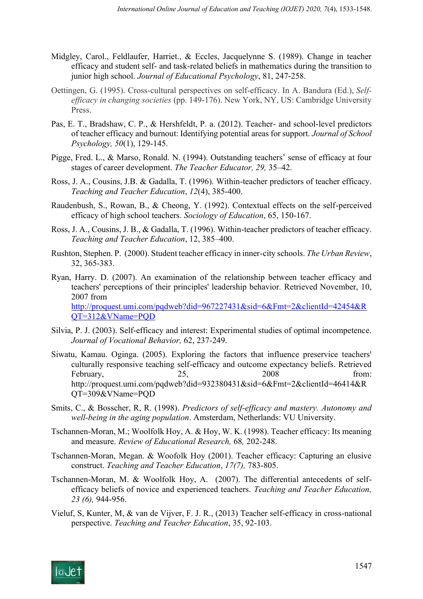- Midgley, Carol., Feldlaufer, Harriet., & Eccles, Jacquelynne S. (1989). Change in teacher efficacy and student self- and task-related beliefs in mathematics during the transition to junior high school. *Journal of Educational Psychology*, 81, 247-258.
- Oettingen, G. (1995). Cross-cultural perspectives on self-efficacy. In A. Bandura (Ed.), *Selfefficacy in changing societies* (pp. 149-176). New York, NY, US: Cambridge University Press.
- Pas, E. T., Bradshaw, C. P., & Hershfeldt, P. a. (2012). Teacher- and school-level predictors of teacher efficacy and burnout: Identifying potential areas for support. *Journal of School Psychology, 50*(1), 129-145.
- Pigge, Fred. L., & Marso, Ronald. N. (1994). Outstanding teachers' sense of efficacy at four stages of career development. *The Teacher Educator, 29,* 35–42.
- Ross, J. A., Cousins, J.B. & Gadalla, T. (1996). Within-teacher predictors of teacher efficacy. *Teaching and Teacher Education*, *12*(4), 385-400.
- Raudenbush, S., Rowan, B., & Cheong, Y. (1992). Contextual effects on the self-perceived efficacy of high school teachers. *Sociology of Education*, 65, 150-167.
- Ross, J. A., Cousins, J. B., & Gadalla, T. (1996). Within-teacher predictors of teacher efficacy. *Teaching and Teacher Education*, 12, 385–400.
- Rushton, Stephen. P. (2000). Student teacher efficacy in inner-city schools. *The Urban Review*, 32, 365-383.
- Ryan, Harry. D. (2007). An examination of the relationship between teacher efficacy and teachers' perceptions of their principles' leadership behavior*.* Retrieved November, 10, 2007 from [http://proquest.umi.com/pqdweb?did=967227431&sid=6&Fmt=2&clientId=42454&R](http://proquest.umi.com/pqdweb?did=967227431&sid=6&Fmt=2&clientId=42454&RQT=312&VName=PQD) [QT=312&VName=PQD](http://proquest.umi.com/pqdweb?did=967227431&sid=6&Fmt=2&clientId=42454&RQT=312&VName=PQD)
- Silvia, P. J. (2003). Self-efficacy and interest: Experimental studies of optimal incompetence. *Journal of Vocational Behavior,* 62, 237-249.
- Siwatu, Kamau. Oginga. (2005). Exploring the factors that influence preservice teachers' culturally responsive teaching self-efficacy and outcome expectancy beliefs. Retrieved February,  $25$ ,  $2008$  from: [http://proquest.umi.com/pqdweb?did=932380431&sid=6&Fmt=2&clientId=46414&R](http://proquest.umi.com/pqdweb?did=932380431&sid=6&Fmt=2&clientId=46414&RQT=309&VName=PQD) [QT=309&VName=PQD](http://proquest.umi.com/pqdweb?did=932380431&sid=6&Fmt=2&clientId=46414&RQT=309&VName=PQD)
- Smits, C., & Bosscher, R, R. (1998). *Predictors of self-efficacy and mastery. Autonomy and well-being in the aging population*. Amsterdam, Netherlands: VU University.
- Tschannen-Moran, M.; Woolfolk Hoy, A. & Hoy, W. K. (1998). Teacher efficacy: Its meaning and measure. *Review of Educational Research,* 68*,* 202-248.
- Tschannen-Moran, Megan. & Woofolk Hoy (2001). Teacher efficacy: Capturing an elusive construct. *Teaching and Teacher Education*, *17(7),* 783-805.
- Tschannen-Moran, M. & Woolfolk Hoy, A. (2007). The differential antecedents of selfefficacy beliefs of novice and experienced teachers. *Teaching and Teacher Education, 23 (6),* 944-956.
- Vieluf, S, Kunter, M, & van de Vijver, F. J. R., (2013) Teacher self-efficacy in cross-national perspective. *Teaching and Teacher Education*, 35, 92-103.